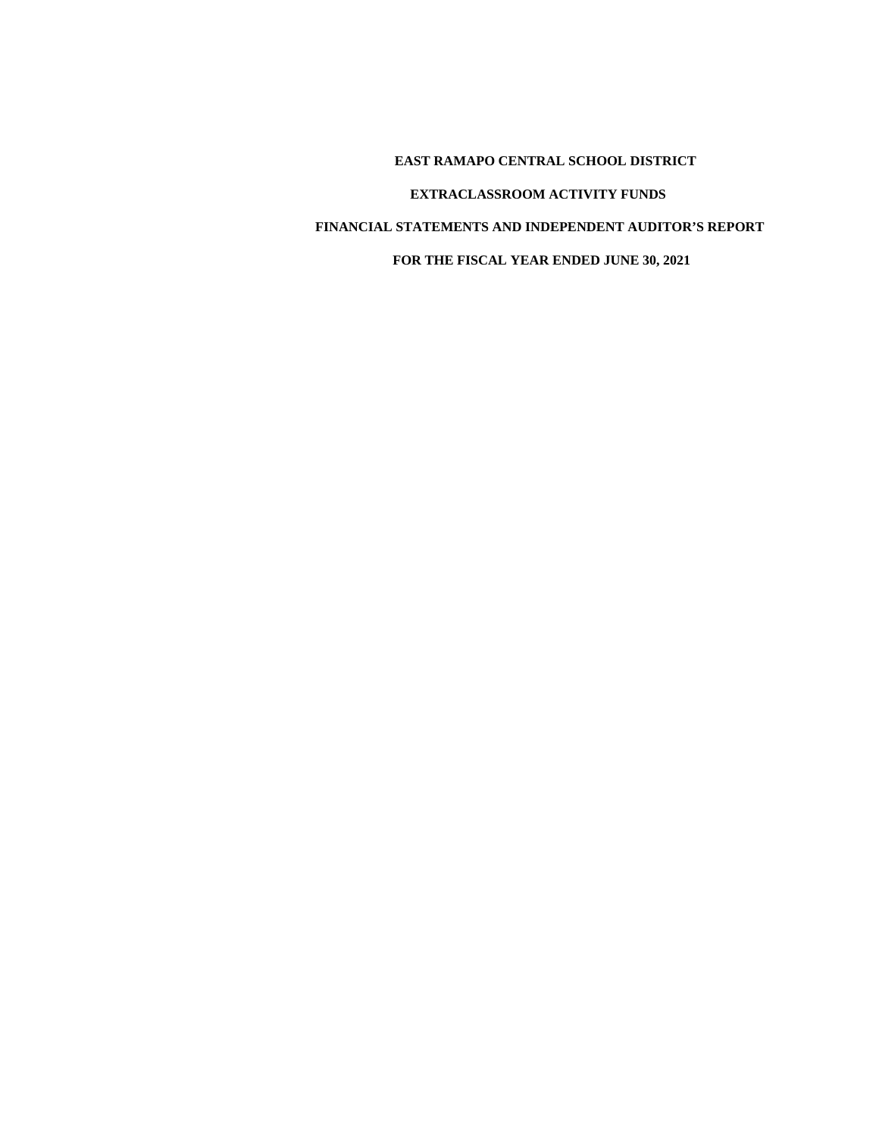**EAST RAMAPO CENTRAL SCHOOL DISTRICT EXTRACLASSROOM ACTIVITY FUNDS FINANCIAL STATEMENTS AND INDEPENDENT AUDITOR'S REPORT FOR THE FISCAL YEAR ENDED JUNE 30, 2021**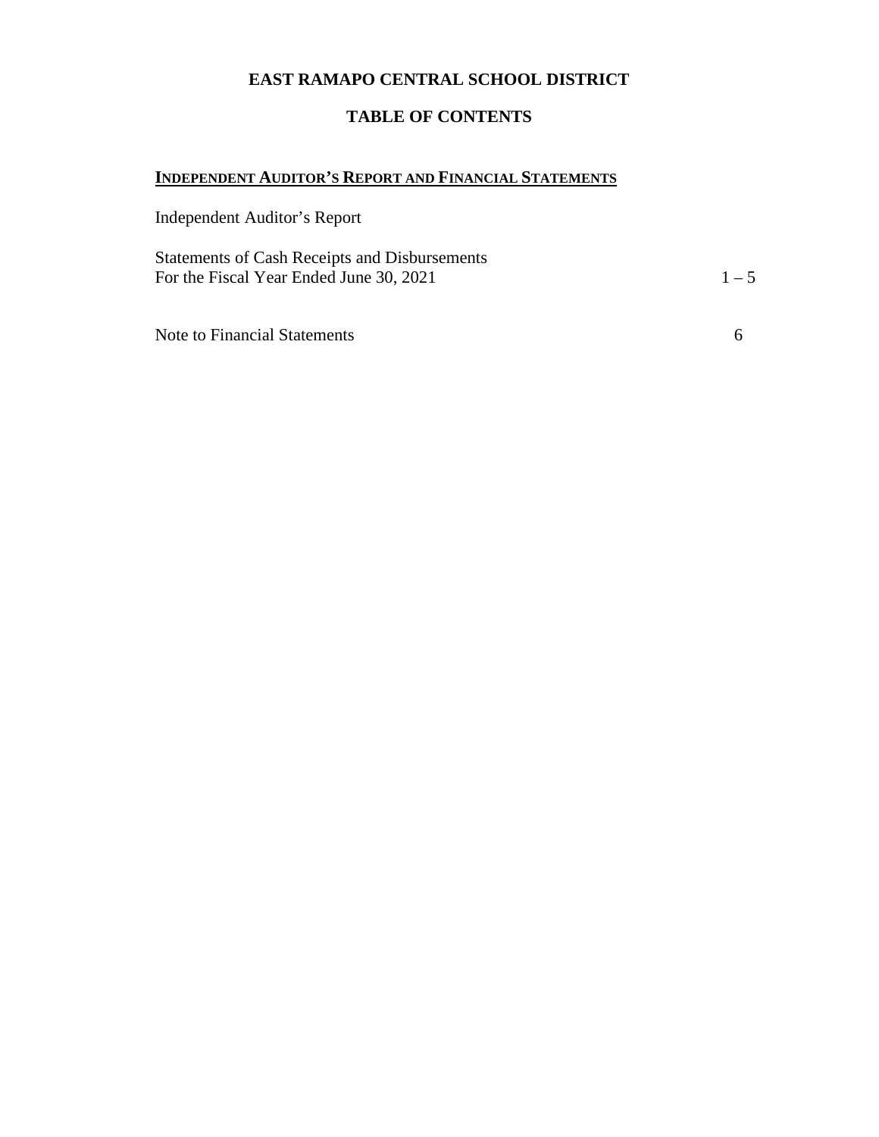# **EAST RAMAPO CENTRAL SCHOOL DISTRICT**

# **TABLE OF CONTENTS**

# **INDEPENDENT AUDITOR'S REPORT AND FINANCIAL STATEMENTS**

Independent Auditor's Report

Statements of Cash Receipts and Disbursements For the Fiscal Year Ended June 30, 2021  $1-5$ 

Note to Financial Statements 6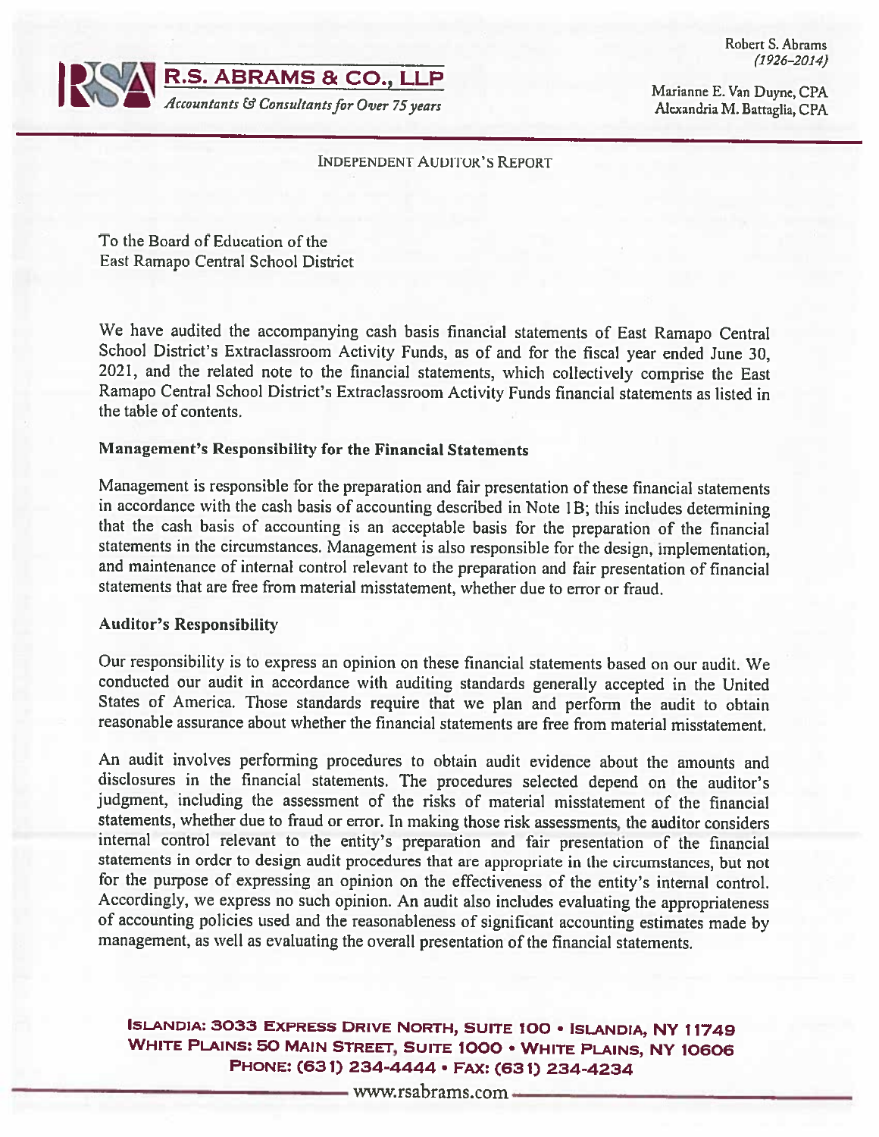

Robert S. Abrams  $(1926 - 2014)$ 

Marianne E. Van Duyne, CPA Alexandria M. Battaglia, CPA

#### **INDEPENDENT AUDITOR'S REPORT**

To the Board of Education of the East Ramapo Central School District

We have audited the accompanying cash basis financial statements of East Ramapo Central School District's Extraclassroom Activity Funds, as of and for the fiscal year ended June 30, 2021, and the related note to the financial statements, which collectively comprise the East Ramapo Central School District's Extraclassroom Activity Funds financial statements as listed in the table of contents.

### **Management's Responsibility for the Financial Statements**

Management is responsible for the preparation and fair presentation of these financial statements in accordance with the cash basis of accounting described in Note 1B; this includes determining that the cash basis of accounting is an acceptable basis for the preparation of the financial statements in the circumstances. Management is also responsible for the design, implementation, and maintenance of internal control relevant to the preparation and fair presentation of financial statements that are free from material misstatement, whether due to error or fraud.

#### **Auditor's Responsibility**

Our responsibility is to express an opinion on these financial statements based on our audit. We conducted our audit in accordance with auditing standards generally accepted in the United States of America. Those standards require that we plan and perform the audit to obtain reasonable assurance about whether the financial statements are free from material misstatement.

An audit involves performing procedures to obtain audit evidence about the amounts and disclosures in the financial statements. The procedures selected depend on the auditor's judgment, including the assessment of the risks of material misstatement of the financial statements, whether due to fraud or error. In making those risk assessments, the auditor considers internal control relevant to the entity's preparation and fair presentation of the financial statements in order to design audit procedures that are appropriate in the circumstances, but not for the purpose of expressing an opinion on the effectiveness of the entity's internal control. Accordingly, we express no such opinion. An audit also includes evaluating the appropriateness of accounting policies used and the reasonableness of significant accounting estimates made by management, as well as evaluating the overall presentation of the financial statements.

# **ISLANDIA: 3033 EXPRESS DRIVE NORTH, SUITE 100 · ISLANDIA, NY 11749** WHITE PLAINS: 50 MAIN STREET, SUITE 1000 . WHITE PLAINS, NY 10606 PHONE: (631) 234-4444 · FAX: (631) 234-4234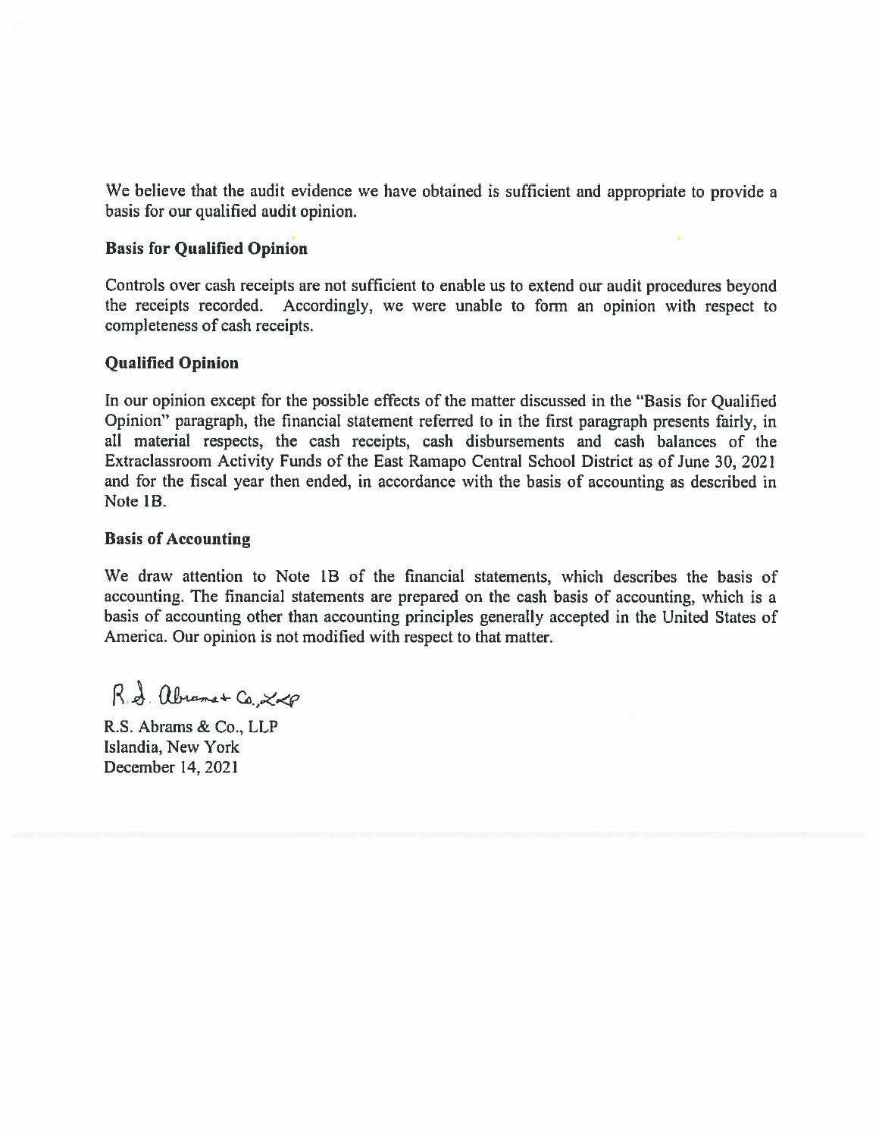We believe that the audit evidence we have obtained is sufficient and appropriate to provide a basis for our qualified audit opinion.

### **Basis for Qualified Opinion**

Controls over cash receipts are not sufficient to enable us to extend our audit procedures bevond the receipts recorded. Accordingly, we were unable to form an opinion with respect to completeness of cash receipts.

#### **Qualified Opinion**

In our opinion except for the possible effects of the matter discussed in the "Basis for Qualified" Opinion" paragraph, the financial statement referred to in the first paragraph presents fairly, in all material respects, the cash receipts, cash disbursements and cash balances of the Extraclassroom Activity Funds of the East Ramapo Central School District as of June 30, 2021 and for the fiscal year then ended, in accordance with the basis of accounting as described in Note 1<sub>B</sub>

#### **Basis of Accounting**

We draw attention to Note 1B of the financial statements, which describes the basis of accounting. The financial statements are prepared on the cash basis of accounting, which is a basis of accounting other than accounting principles generally accepted in the United States of America. Our opinion is not modified with respect to that matter.

R.A. abrams + Co 200

R.S. Abrams & Co., LLP Islandia, New York December 14, 2021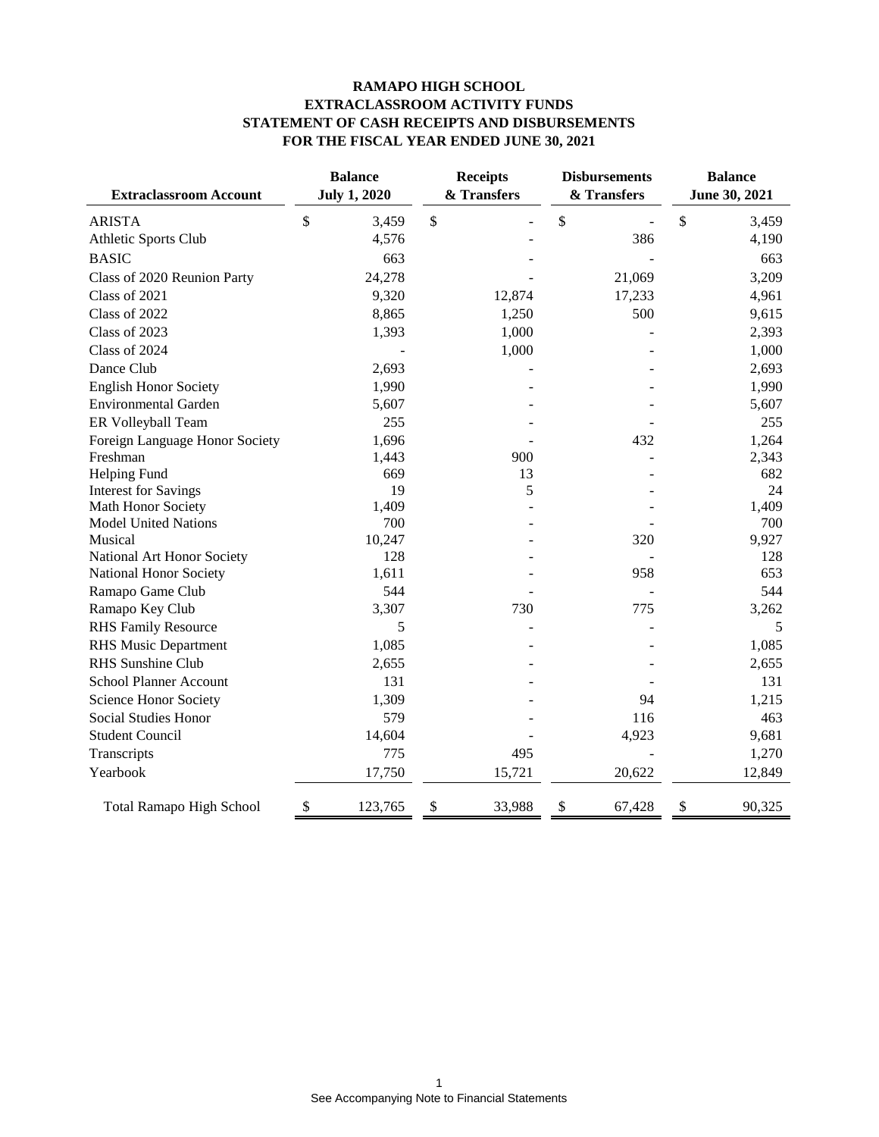#### **RAMAPO HIGH SCHOOL EXTRACLASSROOM ACTIVITY FUNDS STATEMENT OF CASH RECEIPTS AND DISBURSEMENTS FOR THE FISCAL YEAR ENDED JUNE 30, 2021**

| <b>Extraclassroom Account</b>   | <b>Balance</b><br><b>July 1, 2020</b> |         | <b>Receipts</b><br>& Transfers | <b>Disbursements</b><br>& Transfers | <b>Balance</b><br>June 30, 2021 |        |
|---------------------------------|---------------------------------------|---------|--------------------------------|-------------------------------------|---------------------------------|--------|
| <b>ARISTA</b>                   | \$                                    | 3,459   | \$                             | \$                                  | \$                              | 3,459  |
| Athletic Sports Club            |                                       | 4,576   |                                | 386                                 |                                 | 4,190  |
| <b>BASIC</b>                    |                                       | 663     |                                |                                     |                                 | 663    |
| Class of 2020 Reunion Party     |                                       | 24,278  |                                | 21,069                              |                                 | 3,209  |
| Class of 2021                   |                                       | 9,320   | 12,874                         | 17,233                              |                                 | 4,961  |
| Class of 2022                   |                                       | 8,865   | 1,250                          | 500                                 |                                 | 9,615  |
| Class of 2023                   |                                       | 1,393   | 1,000                          |                                     |                                 | 2,393  |
| Class of 2024                   |                                       |         | 1,000                          |                                     |                                 | 1,000  |
| Dance Club                      |                                       | 2,693   |                                |                                     |                                 | 2,693  |
| <b>English Honor Society</b>    |                                       | 1,990   |                                |                                     |                                 | 1,990  |
| <b>Environmental Garden</b>     |                                       | 5,607   |                                |                                     |                                 | 5,607  |
| ER Volleyball Team              |                                       | 255     |                                |                                     |                                 | 255    |
| Foreign Language Honor Society  |                                       | 1,696   |                                | 432                                 |                                 | 1,264  |
| Freshman                        |                                       | 1,443   | 900                            |                                     |                                 | 2,343  |
| Helping Fund                    |                                       | 669     | 13                             |                                     |                                 | 682    |
| <b>Interest for Savings</b>     |                                       | 19      | 5                              |                                     |                                 | 24     |
| Math Honor Society              |                                       | 1,409   |                                |                                     |                                 | 1,409  |
| <b>Model United Nations</b>     |                                       | 700     |                                |                                     |                                 | 700    |
| Musical                         |                                       | 10,247  |                                | 320                                 |                                 | 9,927  |
| National Art Honor Society      |                                       | 128     |                                |                                     |                                 | 128    |
| National Honor Society          |                                       | 1,611   |                                | 958                                 |                                 | 653    |
| Ramapo Game Club                |                                       | 544     |                                |                                     |                                 | 544    |
| Ramapo Key Club                 |                                       | 3,307   | 730                            | 775                                 |                                 | 3,262  |
| <b>RHS Family Resource</b>      |                                       | 5       |                                |                                     |                                 | 5      |
| <b>RHS Music Department</b>     |                                       | 1,085   |                                |                                     |                                 | 1,085  |
| <b>RHS</b> Sunshine Club        |                                       | 2,655   |                                |                                     |                                 | 2,655  |
| <b>School Planner Account</b>   |                                       | 131     |                                |                                     |                                 | 131    |
| Science Honor Society           |                                       | 1,309   |                                | 94                                  |                                 | 1,215  |
| Social Studies Honor            |                                       | 579     |                                | 116                                 |                                 | 463    |
| <b>Student Council</b>          |                                       | 14,604  |                                | 4,923                               |                                 | 9,681  |
| Transcripts                     |                                       | 775     | 495                            |                                     |                                 | 1,270  |
| Yearbook                        |                                       | 17,750  | 15,721                         | 20,622                              |                                 | 12,849 |
| <b>Total Ramapo High School</b> | \$                                    | 123,765 | \$<br>33,988                   | \$<br>67,428                        | \$                              | 90,325 |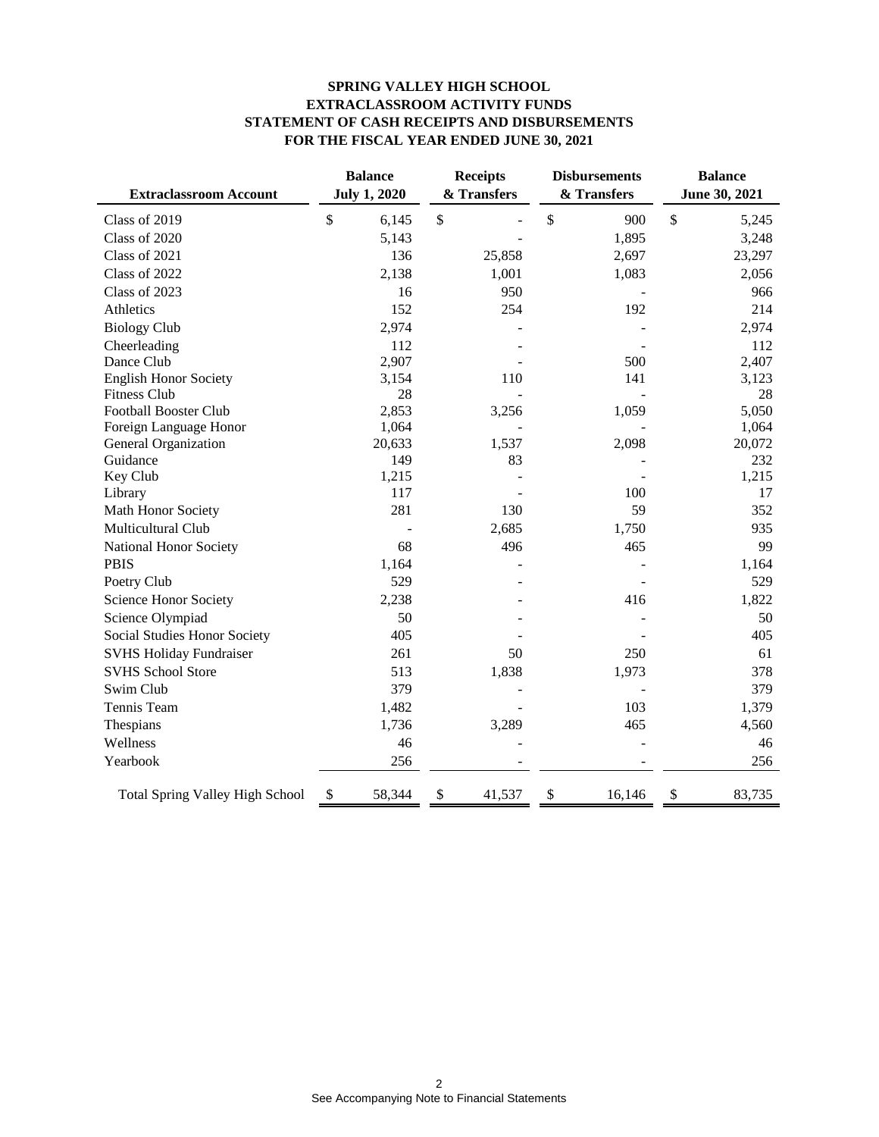#### **SPRING VALLEY HIGH SCHOOL EXTRACLASSROOM ACTIVITY FUNDS STATEMENT OF CASH RECEIPTS AND DISBURSEMENTS FOR THE FISCAL YEAR ENDED JUNE 30, 2021**

| <b>Extraclassroom Account</b>          | <b>Balance</b><br><b>July 1, 2020</b> | <b>Receipts</b><br>& Transfers | <b>Disbursements</b><br>& Transfers | <b>Balance</b><br>June 30, 2021 |  |
|----------------------------------------|---------------------------------------|--------------------------------|-------------------------------------|---------------------------------|--|
| Class of 2019                          | \$<br>6,145                           | \$                             | \$<br>900                           | \$<br>5,245                     |  |
| Class of 2020                          | 5,143                                 |                                | 1,895                               | 3,248                           |  |
| Class of 2021                          | 136                                   | 25,858                         | 2,697                               | 23,297                          |  |
| Class of 2022                          | 2,138                                 | 1,001                          | 1,083                               | 2,056                           |  |
| Class of 2023                          | 16                                    | 950                            |                                     | 966                             |  |
| Athletics                              | 152                                   | 254                            | 192                                 | 214                             |  |
| <b>Biology Club</b>                    | 2,974                                 |                                |                                     | 2,974                           |  |
| Cheerleading                           | 112                                   |                                |                                     | 112                             |  |
| Dance Club                             | 2,907                                 |                                | 500                                 | 2,407                           |  |
| <b>English Honor Society</b>           | 3,154                                 | 110                            | 141                                 | 3,123                           |  |
| <b>Fitness Club</b>                    | 28                                    |                                |                                     | 28                              |  |
| <b>Football Booster Club</b>           | 2,853                                 | 3,256                          | 1,059                               | 5,050                           |  |
| Foreign Language Honor                 | 1,064                                 |                                |                                     | 1,064                           |  |
| General Organization                   | 20,633                                | 1,537                          | 2,098                               | 20,072                          |  |
| Guidance<br>Key Club                   | 149<br>1,215                          | 83                             |                                     | 232<br>1,215                    |  |
| Library                                | 117                                   |                                | 100                                 | 17                              |  |
| Math Honor Society                     | 281                                   | 130                            | 59                                  | 352                             |  |
| Multicultural Club                     |                                       | 2,685                          | 1,750                               | 935                             |  |
| National Honor Society                 | 68                                    | 496                            | 465                                 | 99                              |  |
| <b>PBIS</b>                            | 1,164                                 |                                |                                     | 1,164                           |  |
| Poetry Club                            | 529                                   |                                |                                     | 529                             |  |
| Science Honor Society                  | 2,238                                 |                                | 416                                 | 1,822                           |  |
| Science Olympiad                       | 50                                    |                                |                                     | 50                              |  |
| Social Studies Honor Society           | 405                                   |                                |                                     | 405                             |  |
| <b>SVHS Holiday Fundraiser</b>         | 261                                   | 50                             | 250                                 | 61                              |  |
| <b>SVHS School Store</b>               | 513                                   | 1,838                          | 1,973                               | 378                             |  |
| Swim Club                              | 379                                   |                                |                                     | 379                             |  |
| Tennis Team                            | 1,482                                 |                                | 103                                 | 1,379                           |  |
| Thespians                              | 1,736                                 | 3,289                          | 465                                 | 4,560                           |  |
| Wellness                               | 46                                    |                                |                                     | 46                              |  |
| Yearbook                               | 256                                   |                                |                                     | 256                             |  |
|                                        |                                       |                                |                                     |                                 |  |
| <b>Total Spring Valley High School</b> | 58,344<br>\$                          | \$<br>41,537                   | \$<br>16,146                        | \$<br>83,735                    |  |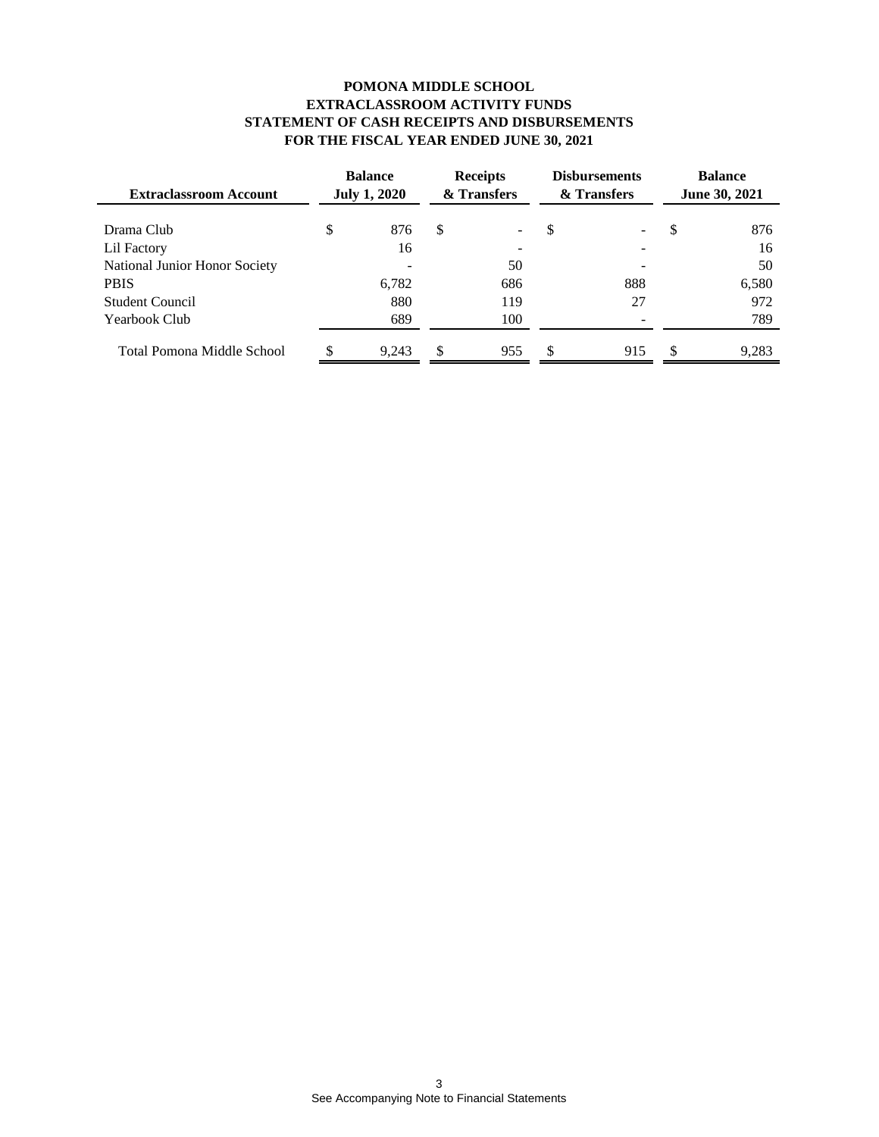#### **POMONA MIDDLE SCHOOL EXTRACLASSROOM ACTIVITY FUNDS STATEMENT OF CASH RECEIPTS AND DISBURSEMENTS FOR THE FISCAL YEAR ENDED JUNE 30, 2021**

| <b>Extraclassroom Account</b> | <b>Balance</b><br><b>July 1, 2020</b> |       | <b>Receipts</b><br>& Transfers |     | <b>Disbursements</b><br>& Transfers |     | <b>Balance</b><br><b>June 30, 2021</b> |       |
|-------------------------------|---------------------------------------|-------|--------------------------------|-----|-------------------------------------|-----|----------------------------------------|-------|
| Drama Club                    | \$                                    | 876   | S                              |     | S                                   |     | S                                      | 876   |
| Lil Factory                   |                                       | 16    |                                | ۰.  |                                     |     |                                        | 16    |
| National Junior Honor Society |                                       |       |                                | 50  |                                     |     |                                        | 50    |
| <b>PBIS</b>                   |                                       | 6.782 |                                | 686 |                                     | 888 |                                        | 6,580 |
| <b>Student Council</b>        |                                       | 880   |                                | 119 |                                     | 27  |                                        | 972   |
| Yearbook Club                 |                                       | 689   |                                | 100 |                                     |     |                                        | 789   |
| Total Pomona Middle School    |                                       | 9.243 | S                              | 955 | S                                   | 915 | S                                      | 9,283 |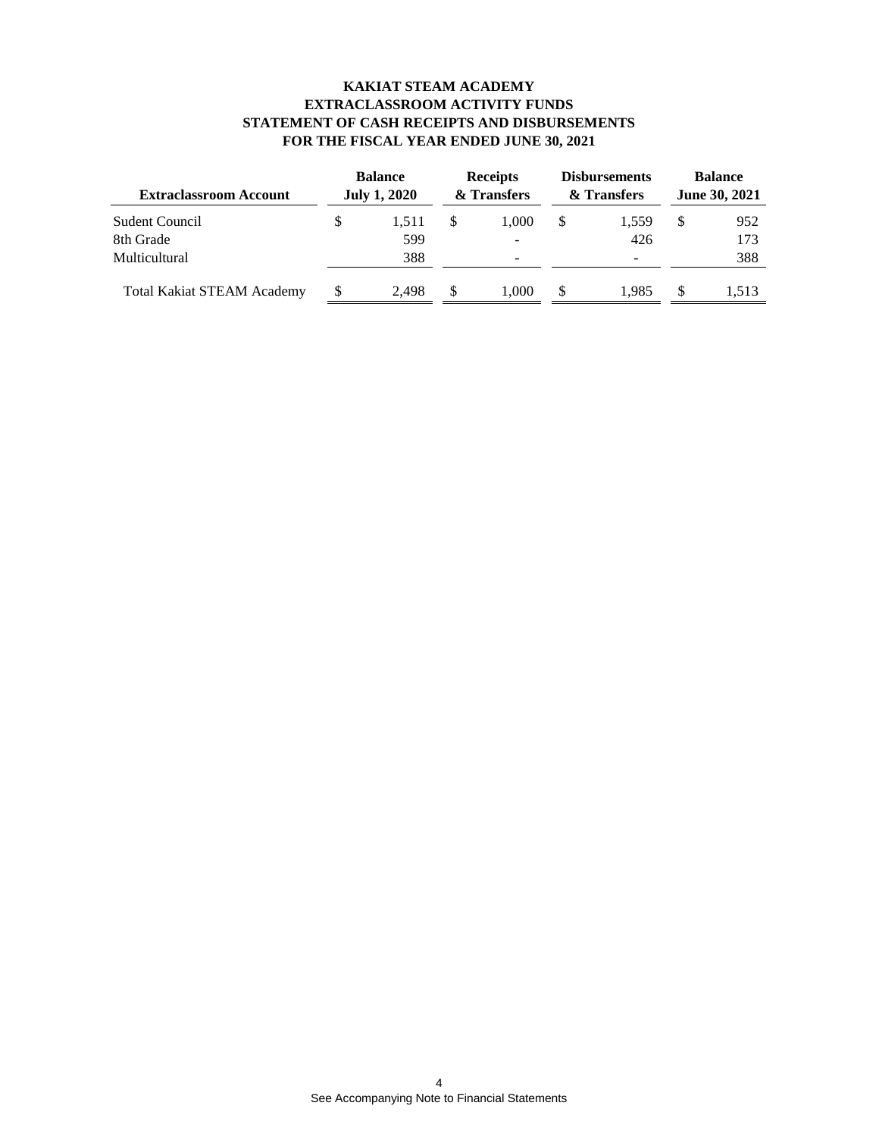#### **KAKIAT STEAM ACADEMY EXTRACLASSROOM ACTIVITY FUNDS STATEMENT OF CASH RECEIPTS AND DISBURSEMENTS FOR THE FISCAL YEAR ENDED JUNE 30, 2021**

| <b>Extraclassroom Account</b>     | <b>Balance</b><br><b>July 1, 2020</b> |       | <b>Receipts</b><br>& Transfers |                          | <b>Disbursements</b><br>& Transfers |       | <b>Balance</b><br><b>June 30, 2021</b> |       |
|-----------------------------------|---------------------------------------|-------|--------------------------------|--------------------------|-------------------------------------|-------|----------------------------------------|-------|
| Sudent Council                    | S                                     | 1.511 |                                | 1.000                    | \$.                                 | 1,559 | \$.                                    | 952   |
| 8th Grade                         |                                       | 599   |                                | -                        |                                     | 426   |                                        | 173   |
| <b>Multicultural</b>              |                                       | 388   |                                | $\overline{\phantom{a}}$ |                                     | -     |                                        | 388   |
| <b>Total Kakiat STEAM Academy</b> |                                       | 2.498 |                                | 1.000                    | \$.                                 | 1.985 |                                        | 1.513 |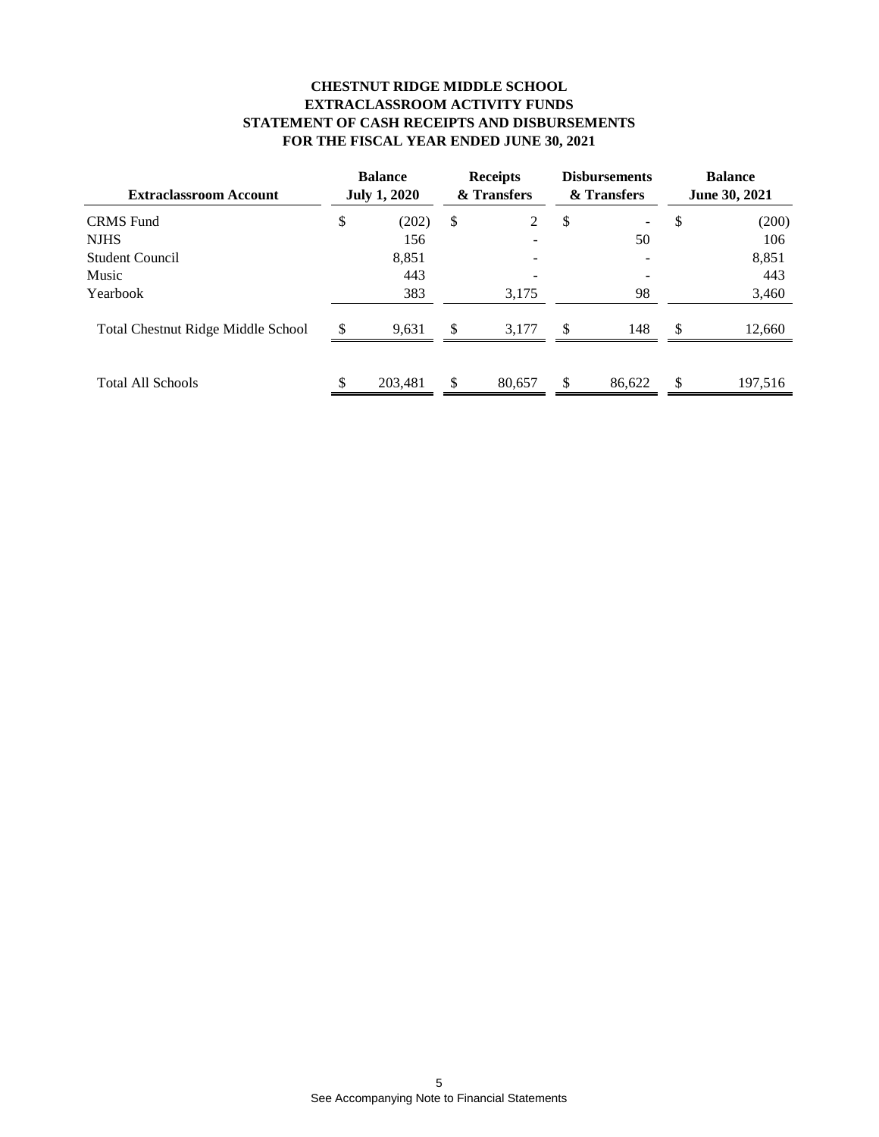#### **CHESTNUT RIDGE MIDDLE SCHOOL EXTRACLASSROOM ACTIVITY FUNDS STATEMENT OF CASH RECEIPTS AND DISBURSEMENTS FOR THE FISCAL YEAR ENDED JUNE 30, 2021**

| <b>Extraclassroom Account</b><br><b>CRMS</b> Fund |  | <b>Balance</b><br><b>July 1, 2020</b> |               | <b>Receipts</b><br>& Transfers |    | <b>Disbursements</b><br>& Transfers |               | <b>Balance</b><br><b>June 30, 2021</b> |  |
|---------------------------------------------------|--|---------------------------------------|---------------|--------------------------------|----|-------------------------------------|---------------|----------------------------------------|--|
|                                                   |  | (202)                                 | \$            | 2                              | \$ | -                                   | S             | (200)                                  |  |
| <b>NJHS</b>                                       |  | 156                                   |               | ۰                              |    | 50                                  |               | 106                                    |  |
| Student Council                                   |  | 8,851                                 |               | -                              |    |                                     |               | 8,851                                  |  |
| Music                                             |  | 443                                   |               |                                |    |                                     |               | 443                                    |  |
| Yearbook                                          |  | 383                                   |               | 3,175                          |    | 98                                  |               | 3,460                                  |  |
| <b>Total Chestnut Ridge Middle School</b>         |  | 9,631                                 | $\mathcal{S}$ | 3,177                          | S  | 148                                 | <sup>\$</sup> | 12,660                                 |  |
| <b>Total All Schools</b>                          |  | 203,481                               | \$            | 80,657                         | \$ | 86.622                              | \$            | 197,516                                |  |